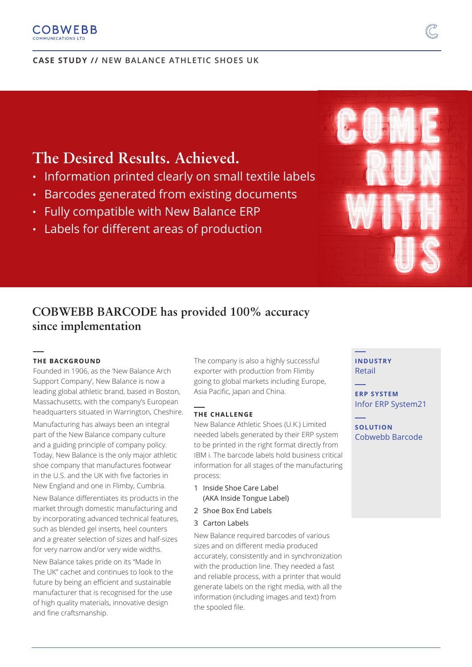#### **COBWEBB** COMMUNICATIONS LT

#### **CASE STUDY // NEW BALANCE ATHLETIC SHOES UK**

# **The Desired Results. Achieved.**

- Information printed clearly on small textile labels
- Barcodes generated from existing documents
- Fully compatible with New Balance ERP
- Labels for different areas of production

# **COBWEBB BARCODE has provided 100% accuracy since implementation**

#### **THE BACKGROUND**

**\_\_\_** 

Founded in 1906, as the 'New Balance Arch Support Company', New Balance is now a leading global athletic brand, based in Boston, Massachusetts, with the company's European headquarters situated in Warrington, Cheshire.

Manufacturing has always been an integral part of the New Balance company culture and a guiding principle of company policy. Today, New Balance is the only major athletic shoe company that manufactures footwear in the U.S. and the UK with five factories in New England and one in Flimby, Cumbria.

New Balance differentiates its products in the market through domestic manufacturing and by incorporating advanced technical features, such as blended gel inserts, heel counters and a greater selection of sizes and half-sizes for very narrow and/or very wide widths.

New Balance takes pride on its "Made In The UK" cachet and continues to look to the future by being an efficient and sustainable manufacturer that is recognised for the use of high quality materials, innovative design and fine craftsmanship.

The company is also a highly successful exporter with production from Flimby going to global markets including Europe, Asia Pacific, Japan and China.

#### **THE CHALLENGE**

**\_\_\_** 

New Balance Athletic Shoes (U.K.) Limited needed labels generated by their ERP system to be printed in the right format directly from IBM i. The barcode labels hold business critical information for all stages of the manufacturing process:

- 1 Inside Shoe Care Label (AKA Inside Tongue Label)
- 2 Shoe Box End Labels
- 3 Carton Labels

New Balance required barcodes of various sizes and on different media produced accurately, consistently and in synchronization with the production line. They needed a fast and reliable process, with a printer that would generate labels on the right media, with all the information (including images and text) from the spooled file.

**INDUSTRY** Retail

**\_\_\_**

**\_\_\_**

**\_\_\_**

**ERP SYSTEM** Infor ERP System21

**SOLUTION** Cobwebb Barcode